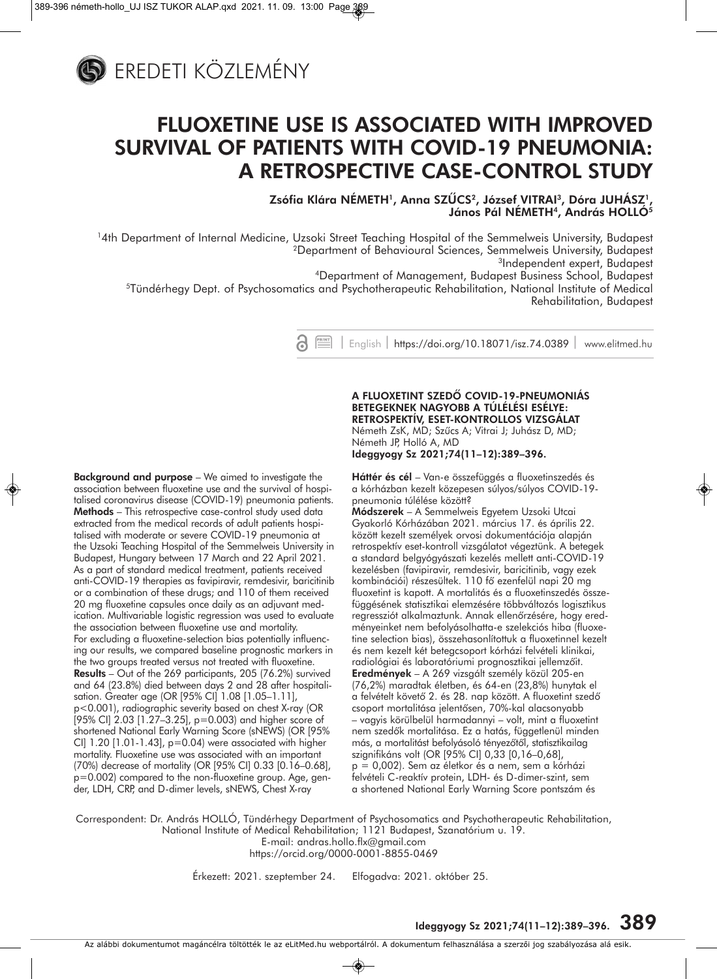

## **FLUOXETINE USE IS ASSOCIATED WITH IMPROVED SURVIVAL OF PATIENTS WITH COVID-19 PNEUMONIA: A RETROSPECTIVE CASE-CONTROL STUDY**

**Zsófia Klára NÉMETH1, Anna SZÛCS2, József VITRAI3, Dóra JUHÁSZ1,**  János Pál NÉMETH<sup>4</sup>, András HOLLÓ<sup>5</sup>

14th Department of Internal Medicine, Uzsoki Street Teaching Hospital of the Semmelweis University, Budapest 2Department of Behavioural Sciences, Semmelweis University, Budapest 3Independent expert, Budapest

4Department of Management, Budapest Business School, Budapest 5Tündérhegy Dept. of Psychosomatics and Psychotherapeutic Rehabilitation, National Institute of Medical Rehabilitation, Budapest

| English | https://doi.org/10.18071/isz.74.0389 | www.elitmed.hu

#### **Background and purpose** – We aimed to investigate the association between fluoxetine use and the survival of hospitalised coronavirus disease (COVID-19) pneumonia patients. **Methods** – This retrospective case-control study used data extracted from the medical records of adult patients hospitalised with moderate or severe COVID-19 pneumonia at the Uzsoki Teaching Hospital of the Semmelweis University in Budapest, Hungary between 17 March and 22 April 2021. As a part of standard medical treatment, patients received anti-COVID-19 therapies as favipiravir, remdesivir, baricitinib or a combination of these drugs; and 110 of them received 20 mg fluoxetine capsules once daily as an adjuvant medication. Multivariable logistic regression was used to evaluate the association between fluoxetine use and mortality. For excluding a fluoxetine-selection bias potentially influencing our results, we compared baseline prognostic markers in the two groups treated versus not treated with fluoxetine. **Results** – Out of the 269 participants, 205 (76.2%) survived and 64 (23.8%) died between days 2 and 28 after hospitalisation. Greater age (OR [95% CI] 1.08 [1.05–1.11], p<0.001), radiographic severity based on chest X-ray (OR [95% CI] 2.03 [1.27–3.25], p=0.003) and higher score of shortened National Early Warning Score (sNEWS) (OR [95% CI] 1.20 [1.01-1.43], p=0.04) were associated with higher mortality. Fluoxetine use was associated with an important (70%) decrease of mortality (OR [95% CI] 0.33 [0.16–0.68], p=0.002) compared to the non-fluoxetine group. Age, gender, LDH, CRP, and D-dimer levels, sNEWS, Chest X-ray

**A FLUOXETINT SZEDÔ COVID-19-PNEUMONIÁS BETEGEKNEK NAGYOBB A TÚLÉLÉSI ESÉLYE: RETROSPEKTÍV, ESET-KONTROLLOS VIZSGÁLAT** 

Németh ZsK, MD; Szûcs A; Vitrai J; Juhász D, MD; Németh JP, Holló A, MD **Ideggyogy Sz 2021;74(11–12):389–396.**

**Háttér és cél** – Van-e összefüggés a fluoxetinszedés és a kórházban kezelt közepesen súlyos/súlyos COVID-19 pneumonia túlélése között?

**Módszerek** – A Semmelweis Egyetem Uzsoki Utcai Gyakorló Kórházában 2021. március 17. és április 22. között kezelt személyek orvosi dokumentációja alapján retrospektív eset-kontroll vizsgálatot végeztünk. A betegek a standard belgyógyászati kezelés mellett anti-COVID-19 kezelésben (favipiravir, remdesivir, baricitinib, vagy ezek kombinációi) részesültek. 110 fô ezenfelül napi 20 mg fluoxetint is kapott. A mortalitás és a fluoxetinszedés összefüggésének statisztikai elemzésére többváltozós logisztikus regressziót alkalmaztunk. Annak ellenôrzésére, hogy eredményeinket nem befolyásolhatta-e szelekciós hiba (fluoxetine selection bias), összehasonlítottuk a fluoxetinnel kezelt és nem kezelt két betegcsoport kórházi felvételi klinikai, radiológiai és laboratóriumi prognosztikai jellemzôit. **Eredmények** – A 269 vizsgált személy közül 205-en (76,2%) maradtak életben, és 64-en (23,8%) hunytak el a felvételt követô 2. és 28. nap között. A fluoxetint szedô csoport mortalitása jelentôsen, 70%-kal alacsonyabb – vagyis körülbelül harmadannyi – volt, mint a fluoxetint nem szedôk mortalitása. Ez a hatás, függetlenül minden más, a mortalitást befolyásoló tényezôtôl, statisztikailag szignifikáns volt (OR [95% CI] 0,33 [0,16–0,68], p = 0,002). Sem az életkor és a nem, sem a kórházi felvételi C-reaktív protein, LDH- és D-dimer-szint, sem a shortened National Early Warning Score pontszám és

Correspondent: Dr. András HOLLÓ, Tündérhegy Department of Psychosomatics and Psychotherapeutic Rehabilitation, National Institute of Medical Rehabilitation; 1121 Budapest, Szanatórium u. 19. E-mail: andras.hollo.flx@gmail.com https://orcid.org/0000-0001-8855-0469

Érkezett: 2021. szeptember 24. Elfogadva: 2021. október 25.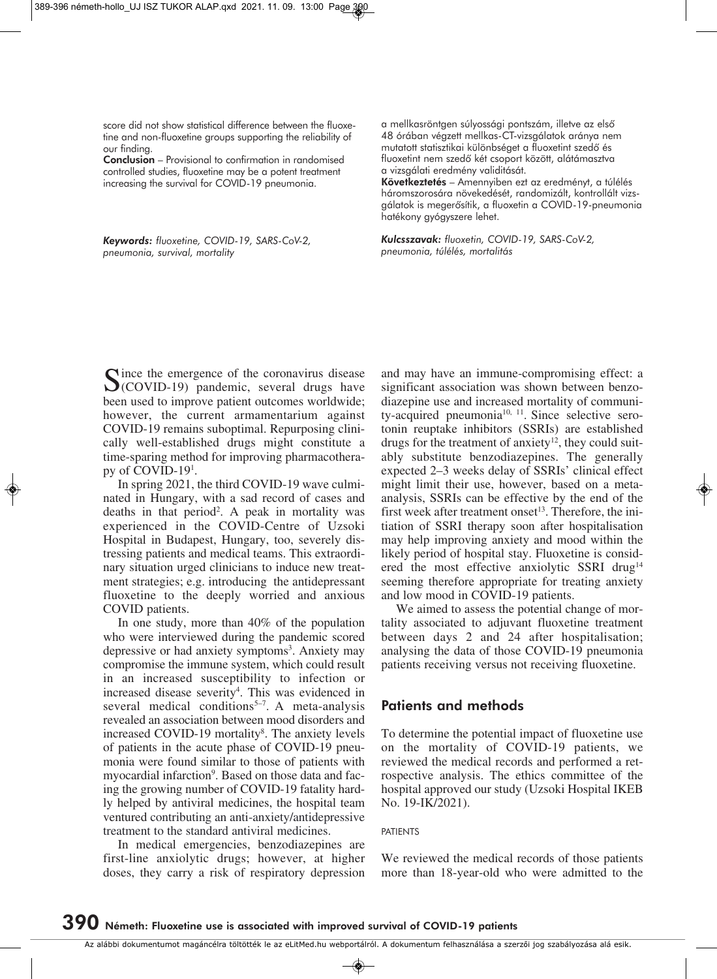score did not show statistical difference between the fluoxetine and non-fluoxetine groups supporting the reliability of our finding.

**Conclusion** – Provisional to confirmation in randomised controlled studies, fluoxetine may be a potent treatment increasing the survival for COVID-19 pneumonia.

*Keywords: fluoxetine, COVID-19, SARS-CoV-2, pneumonia, survival, mortality* 

a mellkasröntgen súlyossági pontszám, illetve az elsô 48 órában végzett mellkas-CT-vizsgálatok aránya nem mutatott statisztikai különbséget a fluoxetint szedô és fluoxetint nem szedô két csoport között, alátámasztva a vizsgálati eredmény validitását.

**Következtetés** – Amennyiben ezt az eredményt, a túlélés háromszorosára növekedését, randomizált, kontrollált vizsgálatok is megerôsítik, a fluoxetin a COVID-19-pneumonia hatékony gyógyszere lehet.

*Kulcsszavak: fluoxetin, COVID-19, SARS-CoV-2, pneumonia, túlélés, mortalitás*

Since the emergence of the coronavirus disease  $\mathcal{O}(\text{COVID-19})$  pandemic, several drugs have been used to improve patient outcomes worldwide; however, the current armamentarium against COVID-19 remains suboptimal. Repurposing clinically well-established drugs might constitute a time-sparing method for improving pharmacotherapy of COVID-191 .

In spring 2021, the third COVID-19 wave culminated in Hungary, with a sad record of cases and deaths in that period2 . A peak in mortality was experienced in the COVID-Centre of Uzsoki Hospital in Budapest, Hungary, too, severely distressing patients and medical teams. This extraordinary situation urged clinicians to induce new treatment strategies; e.g. introducing the antidepressant fluoxetine to the deeply worried and anxious COVID patients.

In one study, more than 40% of the population who were interviewed during the pandemic scored depressive or had anxiety symptoms<sup>3</sup>. Anxiety may compromise the immune system, which could result in an increased susceptibility to infection or increased disease severity<sup>4</sup>. This was evidenced in several medical conditions<sup> $5-7$ </sup>. A meta-analysis revealed an association between mood disorders and increased COVID-19 mortality<sup>8</sup>. The anxiety levels of patients in the acute phase of COVID-19 pneumonia were found similar to those of patients with myocardial infarction<sup>9</sup>. Based on those data and facing the growing number of COVID-19 fatality hardly helped by antiviral medicines, the hospital team ventured contributing an anti-anxiety/antidepressive treatment to the standard antiviral medicines.

In medical emergencies, benzodiazepines are first-line anxiolytic drugs; however, at higher doses, they carry a risk of respiratory depression

and may have an immune-compromising effect: a significant association was shown between benzodiazepine use and increased mortality of community-acquired pneumonia<sup>10, 11</sup>. Since selective serotonin reuptake inhibitors (SSRIs) are established drugs for the treatment of anxiety $12$ , they could suitably substitute benzodiazepines. The generally expected 2–3 weeks delay of SSRIs' clinical effect might limit their use, however, based on a metaanalysis, SSRIs can be effective by the end of the first week after treatment onset<sup>13</sup>. Therefore, the initiation of SSRI therapy soon after hospitalisation may help improving anxiety and mood within the likely period of hospital stay. Fluoxetine is considered the most effective anxiolytic SSRI drug<sup>14</sup> seeming therefore appropriate for treating anxiety and low mood in COVID-19 patients.

We aimed to assess the potential change of mortality associated to adjuvant fluoxetine treatment between days 2 and 24 after hospitalisation; analysing the data of those COVID-19 pneumonia patients receiving versus not receiving fluoxetine.

## **Patients and methods**

To determine the potential impact of fluoxetine use on the mortality of COVID-19 patients, we reviewed the medical records and performed a retrospective analysis. The ethics committee of the hospital approved our study (Uzsoki Hospital IKEB No. 19-IK/2021).

**PATIFNTS** 

We reviewed the medical records of those patients more than 18-year-old who were admitted to the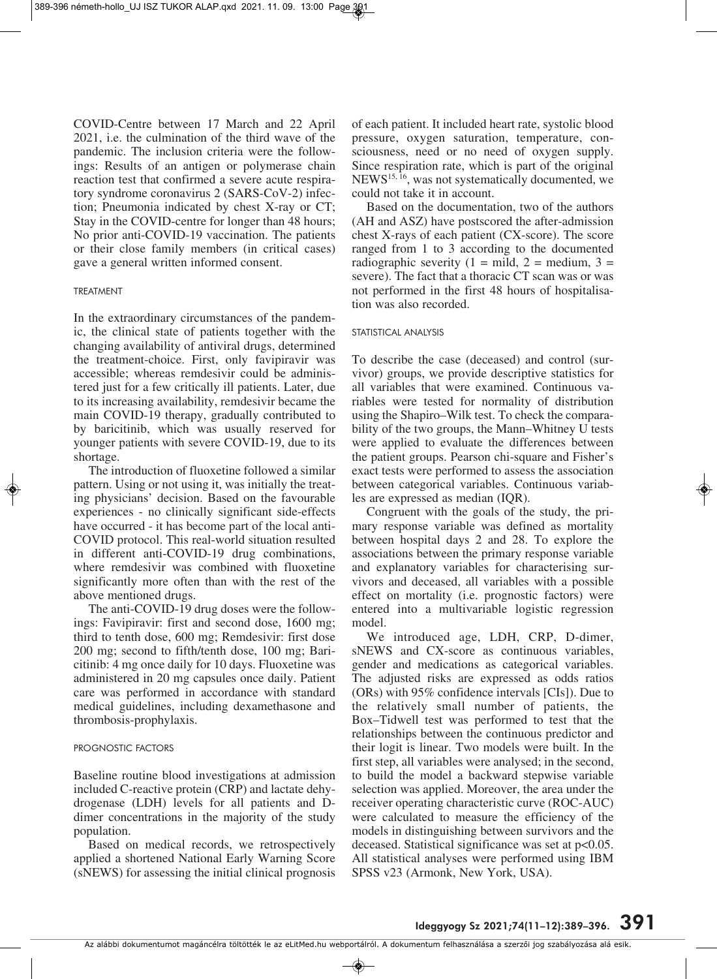COVID-Centre between 17 March and 22 April 2021, i.e. the culmination of the third wave of the pandemic. The inclusion criteria were the followings: Results of an antigen or polymerase chain reaction test that confirmed a severe acute respiratory syndrome coronavirus 2 (SARS-CoV-2) infection; Pneumonia indicated by chest X-ray or CT; Stay in the COVID-centre for longer than 48 hours; No prior anti-COVID-19 vaccination. The patients or their close family members (in critical cases) gave a general written informed consent.

### TREATMENT

In the extraordinary circumstances of the pandemic, the clinical state of patients together with the changing availability of antiviral drugs, determined the treatment-choice. First, only favipiravir was accessible; whereas remdesivir could be administered just for a few critically ill patients. Later, due to its increasing availability, remdesivir became the main COVID-19 therapy, gradually contributed to by baricitinib, which was usually reserved for younger patients with severe COVID-19, due to its shortage.

The introduction of fluoxetine followed a similar pattern. Using or not using it, was initially the treating physicians' decision. Based on the favourable experiences - no clinically significant side-effects have occurred - it has become part of the local anti-COVID protocol. This real-world situation resulted in different anti-COVID-19 drug combinations, where remdesivir was combined with fluoxetine significantly more often than with the rest of the above mentioned drugs.

The anti-COVID-19 drug doses were the followings: Favipiravir: first and second dose, 1600 mg; third to tenth dose, 600 mg; Remdesivir: first dose  $200 \text{ mg}$ ; second to fifth/tenth dose,  $100 \text{ mg}$ ; Baricitinib: 4 mg once daily for 10 days. Fluoxetine was administered in 20 mg capsules once daily. Patient care was performed in accordance with standard medical guidelines, including dexamethasone and thrombosis-prophylaxis.

### PROGNOSTIC FACTORS

Baseline routine blood investigations at admission included C-reactive protein (CRP) and lactate dehydrogenase (LDH) levels for all patients and Ddimer concentrations in the majority of the study population.

Based on medical records, we retrospectively applied a shortened National Early Warning Score (sNEWS) for assessing the initial clinical prognosis of each patient. It included heart rate, systolic blood pressure, oxygen saturation, temperature, consciousness, need or no need of oxygen supply. Since respiration rate, which is part of the original NEWS15, 16, was not systematically documented, we could not take it in account.

Based on the documentation, two of the authors (AH and ASZ) have postscored the after-admission chest X-rays of each patient (CX-score). The score ranged from 1 to 3 according to the documented radiographic severity (1 = mild, 2 = medium, 3 = severe). The fact that a thoracic CT scan was or was not performed in the first 48 hours of hospitalisation was also recorded.

#### STATISTICAL ANALYSIS

To describe the case (deceased) and control (survivor) groups, we provide descriptive statistics for all variables that were examined. Continuous variables were tested for normality of distribution using the Shapiro–Wilk test. To check the comparability of the two groups, the Mann–Whitney U tests were applied to evaluate the differences between the patient groups. Pearson chi-square and Fisher's exact tests were performed to assess the association between categorical variables. Continuous variables are expressed as median (IQR).

Congruent with the goals of the study, the primary response variable was defined as mortality between hospital days 2 and 28. To explore the associations between the primary response variable and explanatory variables for characterising survivors and deceased, all variables with a possible effect on mortality (i.e. prognostic factors) were entered into a multivariable logistic regression model.

We introduced age, LDH, CRP, D-dimer, sNEWS and CX-score as continuous variables, gender and medications as categorical variables. The adjusted risks are expressed as odds ratios (ORs) with 95% confidence intervals [CIs]). Due to the relatively small number of patients, the Box–Tidwell test was performed to test that the relationships between the continuous predictor and their logit is linear. Two models were built. In the first step, all variables were analysed; in the second, to build the model a backward stepwise variable selection was applied. Moreover, the area under the receiver operating characteristic curve (ROC-AUC) were calculated to measure the efficiency of the models in distinguishing between survivors and the deceased. Statistical significance was set at p<0.05. All statistical analyses were performed using IBM SPSS v23 (Armonk, New York, USA).

Az alábbi dokumentumot magáncélra töltötték le az eLitMed.hu webportálról. A dokumentum felhasználása a szerzôi jog szabályozása alá esik.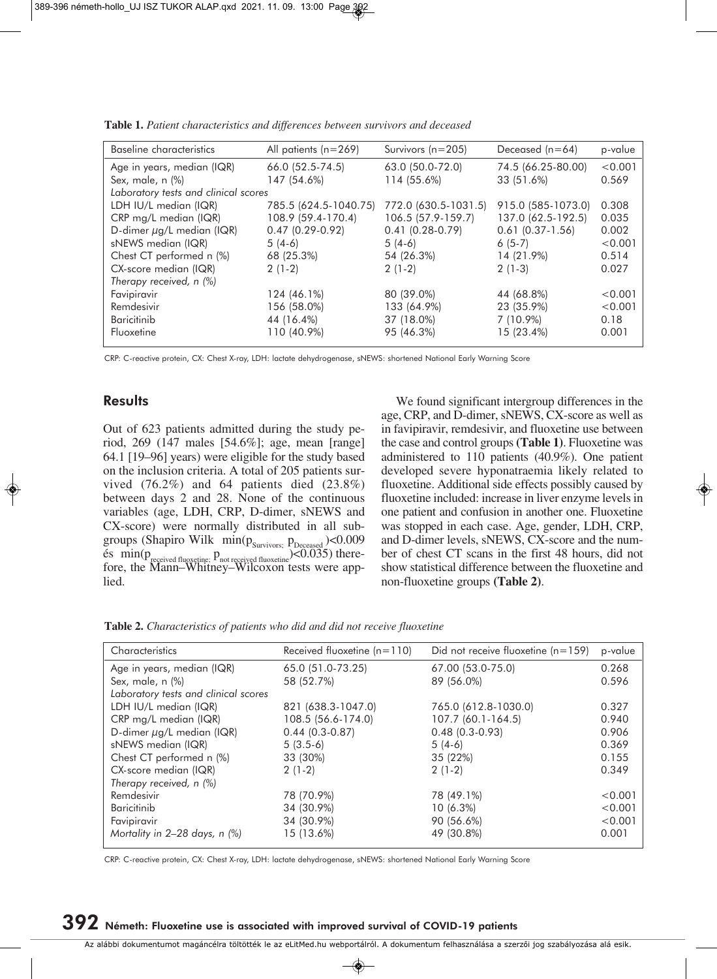|             |                                                                                                                                                                              | Deceased $(n=64)$<br>p-value                                                                                                                          |
|-------------|------------------------------------------------------------------------------------------------------------------------------------------------------------------------------|-------------------------------------------------------------------------------------------------------------------------------------------------------|
|             |                                                                                                                                                                              | < 0.001                                                                                                                                               |
| 114 (55.6%) | 33 (51.6%)                                                                                                                                                                   | 0.569                                                                                                                                                 |
|             |                                                                                                                                                                              |                                                                                                                                                       |
|             |                                                                                                                                                                              | 0.308                                                                                                                                                 |
|             |                                                                                                                                                                              | 0.035                                                                                                                                                 |
|             | $0.61(0.37-1.56)$                                                                                                                                                            | 0.002                                                                                                                                                 |
| $5(4-6)$    | $6(5-7)$                                                                                                                                                                     | < 0.001                                                                                                                                               |
| 54 (26.3%)  | 14 (21.9%)                                                                                                                                                                   | 0.514                                                                                                                                                 |
| $2(1-2)$    | $2(1-3)$                                                                                                                                                                     | 0.027                                                                                                                                                 |
|             |                                                                                                                                                                              |                                                                                                                                                       |
| 80 (39.0%)  | 44 (68.8%)                                                                                                                                                                   | < 0.001                                                                                                                                               |
| 133 (64.9%) | 23 (35.9%)                                                                                                                                                                   | < 0.001                                                                                                                                               |
| 37 (18.0%)  | $7(10.9\%)$                                                                                                                                                                  | 0.18                                                                                                                                                  |
| 95 (46.3%)  | 15 (23.4%)                                                                                                                                                                   | 0.001                                                                                                                                                 |
|             | 66.0 (52.5-74.5)<br>147 (54.6%)<br>785.5 (624.5-1040.75)<br>108.9 (59.4-170.4)<br>$0.47(0.29-0.92)$<br>68 (25.3%)<br>124 (46.1%)<br>156 (58.0%)<br>44 (16.4%)<br>110 (40.9%) | 63.0 (50.0-72.0)<br>74.5 (66.25-80.00)<br>772.0 (630.5-1031.5)<br>915.0 (585-1073.0)<br>137.0 (62.5-192.5)<br>106.5 (57.9-159.7)<br>$0.41(0.28-0.79)$ |

**Table 1.** *Patient characteristics and differences between survivors and deceased*

CRP: C-reactive protein, CX: Chest X-ray, LDH: lactate dehydrogenase, sNEWS: shortened National Early Warning Score

### **Results**

Out of 623 patients admitted during the study period, 269 (147 males [54.6%]; age, mean [range] 64.1 [19–96] years) were eligible for the study based on the inclusion criteria. A total of 205 patients survived (76.2%) and 64 patients died (23.8%) between days 2 and 28. None of the continuous variables (age, LDH, CRP, D-dimer, sNEWS and CX-score) were normally distributed in all subgroups (Shapiro Wilk min $(p_{\text{Suvivors;}} p_{\text{Deceased}})$ <0.009  $\text{e}$ s  $\min(p_{\text{received fluxetime}}; p_{\text{not received fluxetime}})$ <0.035) therefore, the Mann–Whitney–Wilcoxon tests were applied.

We found significant intergroup differences in the age, CRP, and D-dimer, sNEWS, CX-score as well as in favipiravir, remdesivir, and fluoxetine use between the case and control groups **(Table 1)**. Fluoxetine was administered to 110 patients (40.9%). One patient developed severe hyponatraemia likely related to fluoxetine. Additional side effects possibly caused by fluoxetine included: increase in liver enzyme levels in one patient and confusion in another one. Fluoxetine was stopped in each case. Age, gender, LDH, CRP, and D-dimer levels, sNEWS, CX-score and the number of chest CT scans in the first 48 hours, did not show statistical difference between the fluoxetine and non-fluoxetine groups **(Table 2)**.

**Table 2.** *Characteristics of patients who did and did not receive fluoxetine*

| Characteristics                      | Received fluoxetine $(n=110)$<br>Did not receive fluoxetine $(n=159)$ |                      | p-value |
|--------------------------------------|-----------------------------------------------------------------------|----------------------|---------|
| Age in years, median (IQR)           | 65.0 (51.0-73.25)                                                     | 67.00 (53.0-75.0)    | 0.268   |
| Sex, male, n (%)                     | 58 (52.7%)                                                            | 89 (56.0%)           | 0.596   |
| Laboratory tests and clinical scores |                                                                       |                      |         |
| LDH IU/L median (IQR)                | 821 (638.3-1047.0)                                                    | 765.0 (612.8-1030.0) | 0.327   |
| CRP mg/L median (IQR)                | 108.5 (56.6-174.0)                                                    | 107.7 (60.1-164.5)   | 0.940   |
| D-dimer $\mu$ g/L median (IQR)       | $0.44(0.3-0.87)$                                                      | $0.48(0.3-0.93)$     | 0.906   |
| sNEWS median (IQR)                   | $5(3.5-6)$                                                            | $5(4-6)$             | 0.369   |
| Chest CT performed n (%)             | 33 (30%)                                                              | 35 (22%)             | 0.155   |
| CX-score median (IQR)                | $2(1-2)$                                                              | $2(1-2)$             | 0.349   |
| Therapy received, n (%)              |                                                                       |                      |         |
| Remdesivir                           | 78 (70.9%)                                                            | 78 (49.1%)           | < 0.001 |
| <b>Baricitinib</b>                   | 34 (30.9%)                                                            | $10(6.3\%)$          | < 0.001 |
| Favipiravir                          | 34 (30.9%)                                                            | 90 (56.6%)           | < 0.001 |
| Mortality in $2-28$ days, n $(\%)$   | 15 (13.6%)                                                            | 49 (30.8%)           | 0.001   |

CRP: C-reactive protein, CX: Chest X-ray, LDH: lactate dehydrogenase, sNEWS: shortened National Early Warning Score

# **392 Németh: Fluoxetine use is associated with improved survival of COVID-19 patients**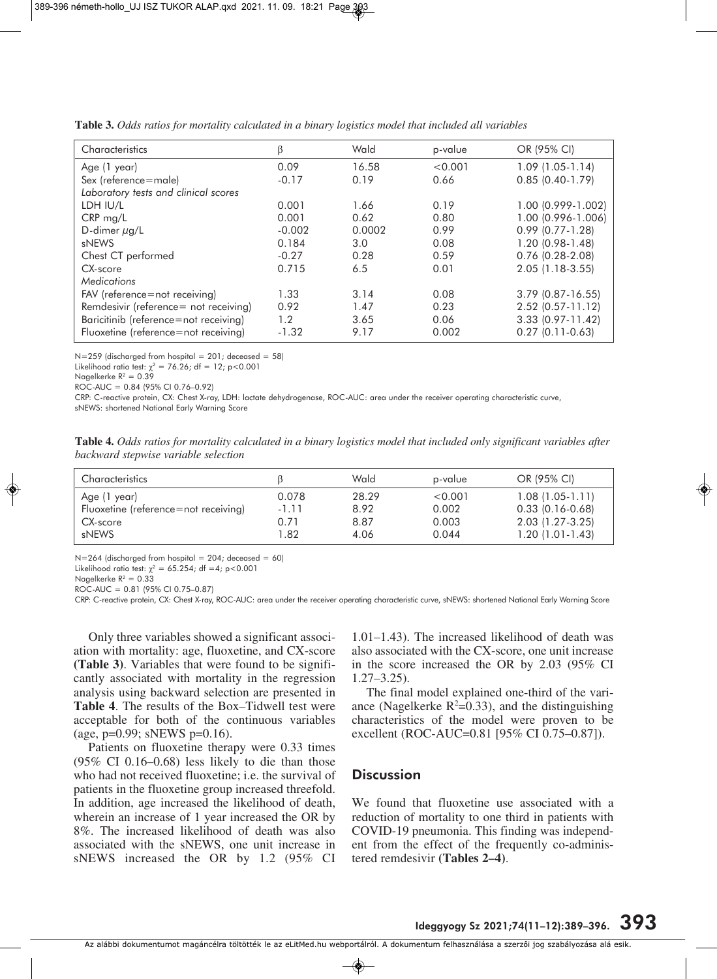| Characteristics                       | β        | Wald   | p-value | OR (95% CI)          |
|---------------------------------------|----------|--------|---------|----------------------|
| Age (1 year)                          | 0.09     | 16.58  | < 0.001 | $1.09(1.05-1.14)$    |
| Sex (reference=male)                  | $-0.17$  | 0.19   | 0.66    | $0.85(0.40-1.79)$    |
| Laboratory tests and clinical scores  |          |        |         |                      |
| LDH IU/L                              | 0.001    | 1.66   | 0.19    | 1.00 (0.999-1.002)   |
| $CRP$ mg/L                            | 0.001    | 0.62   | 0.80    | 1.00 (0.996-1.006)   |
| D-dimer $\mu$ g/L                     | $-0.002$ | 0.0002 | 0.99    | $0.99(0.77 - 1.28)$  |
| sNEWS                                 | 0.184    | 3.0    | 0.08    | $1.20(0.98-1.48)$    |
| Chest CT performed                    | $-0.27$  | 0.28   | 0.59    | $0.76$ $(0.28-2.08)$ |
| CX-score                              | 0.715    | 6.5    | 0.01    | $2.05(1.18-3.55)$    |
| <b>Medications</b>                    |          |        |         |                      |
| FAV (reference=not receiving)         | 1.33     | 3.14   | 0.08    | $3.79$ (0.87-16.55)  |
| Remdesivir (reference= not receiving) | 0.92     | 1.47   | 0.23    | $2.52$ (0.57-11.12)  |
| Baricitinib (reference=not receiving) | 1.2      | 3.65   | 0.06    | $3.33(0.97 - 11.42)$ |
| Fluoxetine (reference=not receiving)  | $-1.32$  | 9.17   | 0.002   | $0.27(0.11-0.63)$    |

**Table 3.** *Odds ratios for mortality calculated in a binary logistics model that included all variables*

 $N=259$  (discharged from hospital = 201; deceased = 58)

Likelihood ratio test:  $\chi^2 = 76.26$ ; df = 12; p<0.001

Nagelkerke  $R^2 = 0.39$ 

ROC-AUC = 0.84 (95% CI 0.76–0.92)

CRP: C-reactive protein, CX: Chest X-ray, LDH: lactate dehydrogenase, ROC-AUC: area under the receiver operating characteristic curve, sNEWS: shortened National Early Warning Score

**Table 4.** *Odds ratios for mortality calculated in a binary logistics model that included only significant variables after backward stepwise variable selection*

| Characteristics                      |         | Wald  | p-value | OR (95% CI)       |
|--------------------------------------|---------|-------|---------|-------------------|
| Age (1 year)                         | 0.078   | 28.29 | < 0.001 | $1.08(1.05-1.11)$ |
| Fluoxetine (reference=not receiving) | $-1.11$ | 8.92  | 0.002   | $0.33(0.16-0.68)$ |
| CX-score                             | 0.71    | 8.87  | 0.003   | 2.03 (1.27-3.25)  |
| sNEWS                                | 1.82    | 4.06  | 0.044   | $1.20(1.01-1.43)$ |

 $N=264$  (discharged from hospital = 204; deceased = 60)

Likelihood ratio test:  $\chi^2 = 65.254$ ; df =4; p<0.001

Nagelkerke  $R^2 = 0.33$ 

ROC-AUC = 0.81 (95% CI 0.75–0.87)

CRP: C-reactive protein, CX: Chest X-ray, ROC-AUC: area under the receiver operating characteristic curve, sNEWS: shortened National Early Warning Score

Only three variables showed a significant association with mortality: age, fluoxetine, and CX-score **(Table 3)**. Variables that were found to be significantly associated with mortality in the regression analysis using backward selection are presented in **Table 4**. The results of the Box–Tidwell test were acceptable for both of the continuous variables (age, p=0.99; sNEWS p=0.16).

Patients on fluoxetine therapy were 0.33 times (95% CI 0.16–0.68) less likely to die than those who had not received fluoxetine; i.e. the survival of patients in the fluoxetine group increased threefold. In addition, age increased the likelihood of death, wherein an increase of 1 year increased the OR by 8%. The increased likelihood of death was also associated with the sNEWS, one unit increase in sNEWS increased the OR by 1.2 (95% CI

1.01–1.43). The increased likelihood of death was also associated with the CX-score, one unit increase in the score increased the OR by 2.03 (95% CI 1.27–3.25).

The final model explained one-third of the variance (Nagelkerke  $R^2=0.33$ ), and the distinguishing characteristics of the model were proven to be excellent (ROC-AUC=0.81 [95% CI 0.75–0.87]).

## **Discussion**

We found that fluoxetine use associated with a reduction of mortality to one third in patients with COVID-19 pneumonia. This finding was independent from the effect of the frequently co-administered remdesivir **(Tables 2–4)**.

Az alábbi dokumentumot magáncélra töltötték le az eLitMed.hu webportálról. A dokumentum felhasználása a szerzôi jog szabályozása alá esik.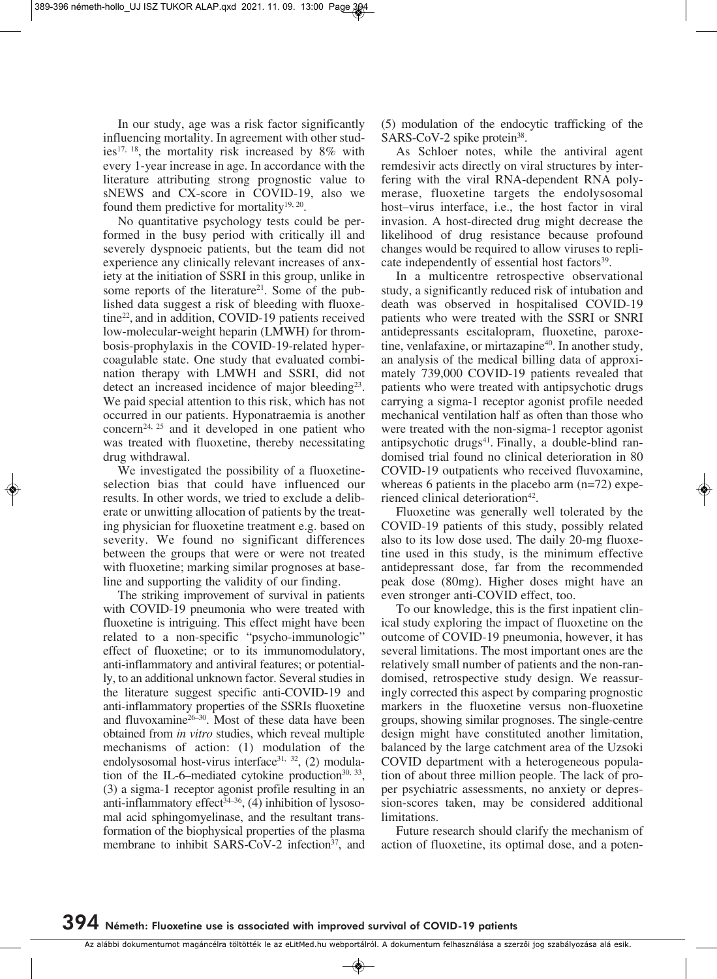In our study, age was a risk factor significantly influencing mortality. In agreement with other studies<sup>17, 18</sup>, the mortality risk increased by  $8\%$  with every 1-year increase in age. In accordance with the literature attributing strong prognostic value to sNEWS and CX-score in COVID-19, also we found them predictive for mortality<sup>19, 20</sup>.

No quantitative psychology tests could be performed in the busy period with critically ill and severely dyspnoeic patients, but the team did not experience any clinically relevant increases of anxiety at the initiation of SSRI in this group, unlike in some reports of the literature<sup>21</sup>. Some of the published data suggest a risk of bleeding with fluoxetine22, and in addition, COVID-19 patients received low-molecular-weight heparin (LMWH) for thrombosis-prophylaxis in the COVID-19-related hypercoagulable state. One study that evaluated combination therapy with LMWH and SSRI, did not detect an increased incidence of major bleeding<sup>23</sup>. We paid special attention to this risk, which has not occurred in our patients. Hyponatraemia is another concern<sup>24, 25</sup> and it developed in one patient who was treated with fluoxetine, thereby necessitating drug withdrawal.

We investigated the possibility of a fluoxetineselection bias that could have influenced our results. In other words, we tried to exclude a deliberate or unwitting allocation of patients by the treating physician for fluoxetine treatment e.g. based on severity. We found no significant differences between the groups that were or were not treated with fluoxetine; marking similar prognoses at baseline and supporting the validity of our finding.

The striking improvement of survival in patients with COVID-19 pneumonia who were treated with fluoxetine is intriguing. This effect might have been related to a non-specific "psycho-immunologic" effect of fluoxetine; or to its immunomodulatory, anti-inflammatory and antiviral features; or potentially, to an additional unknown factor. Several studies in the literature suggest specific anti-COVID-19 and anti-inflammatory properties of the SSRIs fluoxetine and fluvoxamine $26-30$ . Most of these data have been obtained from *in vitro* studies, which reveal multiple mechanisms of action: (1) modulation of the endolysosomal host-virus interface<sup>31, 32</sup>, (2) modulation of the IL-6–mediated cytokine production $30, 33$ , (3) a sigma-1 receptor agonist profile resulting in an anti-inflammatory effect<sup>34-36</sup>,  $(4)$  inhibition of lysosomal acid sphingomyelinase, and the resultant transformation of the biophysical properties of the plasma membrane to inhibit SARS-CoV-2 infection<sup>37</sup>, and

(5) modulation of the endocytic trafficking of the SARS-CoV-2 spike protein<sup>38</sup>.

As Schloer notes, while the antiviral agent remdesivir acts directly on viral structures by interfering with the viral RNA-dependent RNA polymerase, fluoxetine targets the endolysosomal host–virus interface, i.e., the host factor in viral invasion. A host-directed drug might decrease the likelihood of drug resistance because profound changes would be required to allow viruses to replicate independently of essential host factors<sup>39</sup>.

In a multicentre retrospective observational study, a significantly reduced risk of intubation and death was observed in hospitalised COVID-19 patients who were treated with the SSRI or SNRI antidepressants escitalopram, fluoxetine, paroxetine, venlafaxine, or mirtazapine<sup>40</sup>. In another study, an analysis of the medical billing data of approximately 739,000 COVID-19 patients revealed that patients who were treated with antipsychotic drugs carrying a sigma-1 receptor agonist profile needed mechanical ventilation half as often than those who were treated with the non-sigma-1 receptor agonist antipsychotic drugs<sup>41</sup>. Finally, a double-blind randomised trial found no clinical deterioration in 80 COVID-19 outpatients who received fluvoxamine, whereas 6 patients in the placebo arm (n=72) experienced clinical deterioration<sup>42</sup>.

Fluoxetine was generally well tolerated by the COVID-19 patients of this study, possibly related also to its low dose used. The daily 20-mg fluoxetine used in this study, is the minimum effective antidepressant dose, far from the recommended peak dose (80mg). Higher doses might have an even stronger anti-COVID effect, too.

To our knowledge, this is the first inpatient clinical study exploring the impact of fluoxetine on the outcome of COVID-19 pneumonia, however, it has several limitations. The most important ones are the relatively small number of patients and the non-randomised, retrospective study design. We reassuringly corrected this aspect by comparing prognostic markers in the fluoxetine versus non-fluoxetine groups, showing similar prognoses. The single-centre design might have constituted another limitation, balanced by the large catchment area of the Uzsoki COVID department with a heterogeneous population of about three million people. The lack of proper psychiatric assessments, no anxiety or depression-scores taken, may be considered additional limitations.

Future research should clarify the mechanism of action of fluoxetine, its optimal dose, and a poten-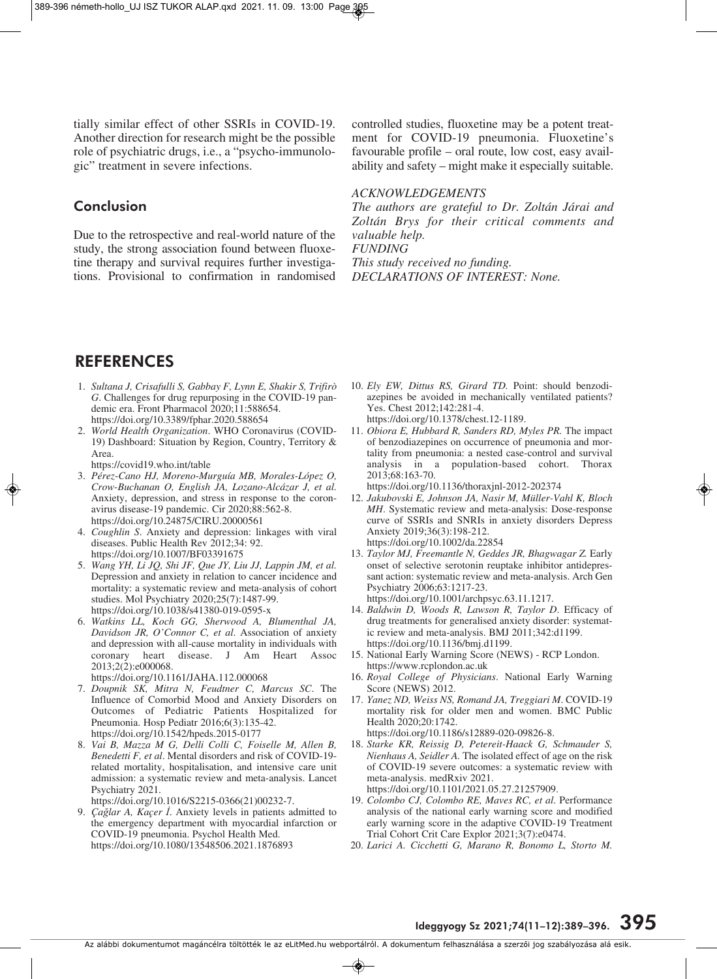tially similar effect of other SSRIs in COVID-19. Another direction for research might be the possible role of psychiatric drugs, *i.e.*, a "psycho-immunologic" treatment in severe infections.

## **Conclusion**

Due to the retrospective and real-world nature of the study, the strong association found between fluoxetine therapy and survival requires further investigations. Provisional to confirmation in randomised controlled studies, fluoxetine may be a potent treatment for COVID-19 pneumonia. Fluoxetine's favourable profile – oral route, low cost, easy availability and safety – might make it especially suitable.

#### *ACKNOWLEDGEMENTS*

*The authors are grateful to Dr. Zoltán Járai and Zoltán Brys for their critical comments and valuable help. FUNDING* 

*This study received no funding. DECLARATIONS OF INTEREST: None.*

## **REFERENCES**

- 1. *Sultana J, Crisafulli S, Gabbay F, Lynn E, Shakir S, Trifirò G*. Challenges for drug repurposing in the COVID-19 pandemic era. Front Pharmacol 2020;11:588654. https://doi.org/10.3389/fphar.2020.588654
- 2. *World Health Organization*. WHO Coronavirus (COVID-19) Dashboard: Situation by Region, Country, Territory & Area.
	- https://covid19.who.int/table
- 3. *Pérez-Cano HJ, Moreno-Murguía MB, Morales-López O, Crow-Buchanan O, English JA, Lozano-Alcázar J, et al.* Anxiety, depression, and stress in response to the coronavirus disease-19 pandemic. Cir 2020;88:562-8. https://doi.org/10.24875/CIRU.20000561
- 4. *Coughlin S*. Anxiety and depression: linkages with viral diseases. Public Health Rev 2012;34: 92. https://doi.org/10.1007/BF03391675
- 5. *Wang YH, Li JQ, Shi JF, Que JY, Liu JJ, Lappin JM, et al.* Depression and anxiety in relation to cancer incidence and mortality: a systematic review and meta-analysis of cohort studies. Mol Psychiatry 2020;25(7):1487-99. https://doi.org/10.1038/s41380-019-0595-x
- 6. *Watkins LL, Koch GG, Sherwood A, Blumenthal JA, Davidson JR, O'Connor C, et al*. Association of anxiety and depression with all-cause mortality in individuals with coronary heart disease. J Am Heart Assoc 2013;2(2):e000068.
	- https://doi.org/10.1161/JAHA.112.000068
- 7. *Doupnik SK, Mitra N, Feudtner C, Marcus SC*. The Influence of Comorbid Mood and Anxiety Disorders on Outcomes of Pediatric Patients Hospitalized for Pneumonia. Hosp Pediatr 2016;6(3):135-42. https://doi.org/10.1542/hpeds.2015-0177
- 8. *Vai B, Mazza M G, Delli Colli C, Foiselle M, Allen B, Benedetti F, et al*. Mental disorders and risk of COVID-19 related mortality, hospitalisation, and intensive care unit admission: a systematic review and meta-analysis. Lancet Psychiatry 2021.

https://doi.org/10.1016/S2215-0366(21)00232-7.

9. *Çağlar A, Kaçer İ*. Anxiety levels in patients admitted to the emergency department with myocardial infarction or COVID-19 pneumonia. Psychol Health Med. https://doi.org/10.1080/13548506.2021.1876893

- 10. *Ely EW, Dittus RS, Girard TD.* Point: should benzodiazepines be avoided in mechanically ventilated patients? Yes. Chest 2012;142:281-4. https://doi.org/10.1378/chest.12-1189.
- 11. *Obiora E, Hubbard R, Sanders RD, Myles PR.* The impact of benzodiazepines on occurrence of pneumonia and mortality from pneumonia: a nested case-control and survival analysis in a population-based cohort. Thorax 2013;68:163-70.
	- https://doi.org/10.1136/thoraxjnl-2012-202374
- 12. *Jakubovski E, Johnson JA, Nasir M, Müller-Vahl K, Bloch MH*. Systematic review and meta-analysis: Dose-response curve of SSRIs and SNRIs in anxiety disorders Depress Anxiety 2019;36(3):198-212. https://doi.org/10.1002/da.22854
- 13. *Taylor MJ, Freemantle N, Geddes JR, Bhagwagar Z.* Early onset of selective serotonin reuptake inhibitor antidepressant action: systematic review and meta-analysis. Arch Gen Psychiatry 2006;63:1217-23. https://doi.org/10.1001/archpsyc.63.11.1217.
- 14. *Baldwin D, Woods R, Lawson R, Taylor D*. Efficacy of drug treatments for generalised anxiety disorder: systematic review and meta-analysis. BMJ 2011;342:d1199. https://doi.org/10.1136/bmj.d1199.
- 15. National Early Warning Score (NEWS) RCP London. https://www.rcplondon.ac.uk
- 16. *Royal College of Physicians*. National Early Warning Score (NEWS) 2012.
- 17. *Yanez ND, Weiss NS, Romand JA, Treggiari M*. COVID-19 mortality risk for older men and women. BMC Public Health 2020;20:1742. https://doi.org/10.1186/s12889-020-09826-8.
- 18. *Starke KR, Reissig D, Petereit-Haack G, Schmauder S, Nienhaus A, Seidler A.* The isolated effect of age on the risk of COVID-19 severe outcomes: a systematic review with meta-analysis. medRxiv 2021. https://doi.org/10.1101/2021.05.27.21257909.
- 19. *Colombo CJ, Colombo RE, Maves RC, et al*. Performance analysis of the national early warning score and modified early warning score in the adaptive COVID-19 Treatment Trial Cohort Crit Care Explor 2021;3(7):e0474.
- 20. *Larici A. Cicchetti G, Marano R, Bonomo L, Storto M.*